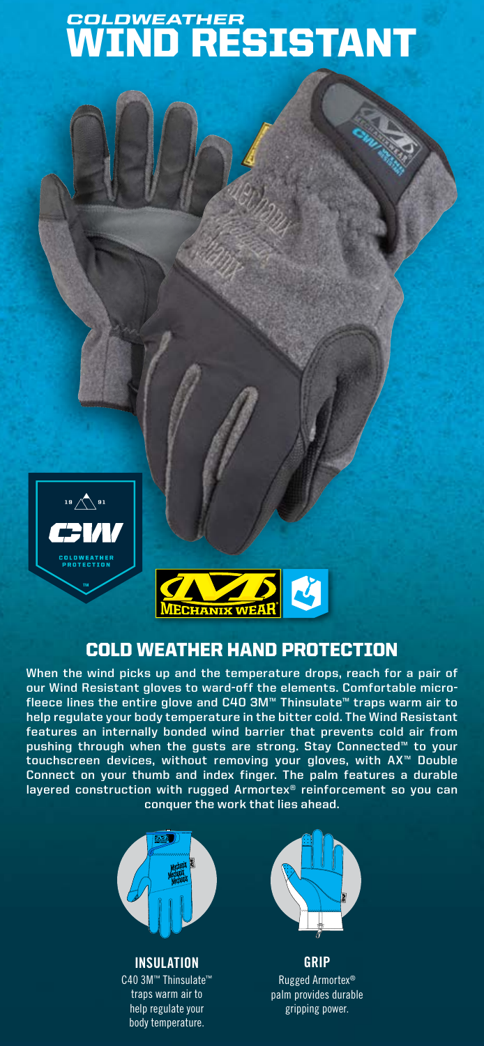# WIND RESISTANT *COLDWEATHER*





## COLD WEATHER HAND PROTECTION

**When the wind picks up and the temperature drops, reach for a pair of our Wind Resistant gloves to ward-off the elements. Comfortable microfleece lines the entire glove and C40 3M™ Thinsulate™ traps warm air to help regulate your body temperature in the bitter cold. The Wind Resistant features an internally bonded wind barrier that prevents cold air from pushing through when the gusts are strong. Stay Connected™ to your touchscreen devices, without removing your gloves, with AX™ Double Connect on your thumb and index finger. The palm features a durable layered construction with rugged Armortex® reinforcement so you can conquer the work that lies ahead.**



**INSULATION** C40 3M™ Thinsulate™ traps warm air to help regulate your body temperature.



**GRIP** Rugged Armortex® palm provides durable gripping power.